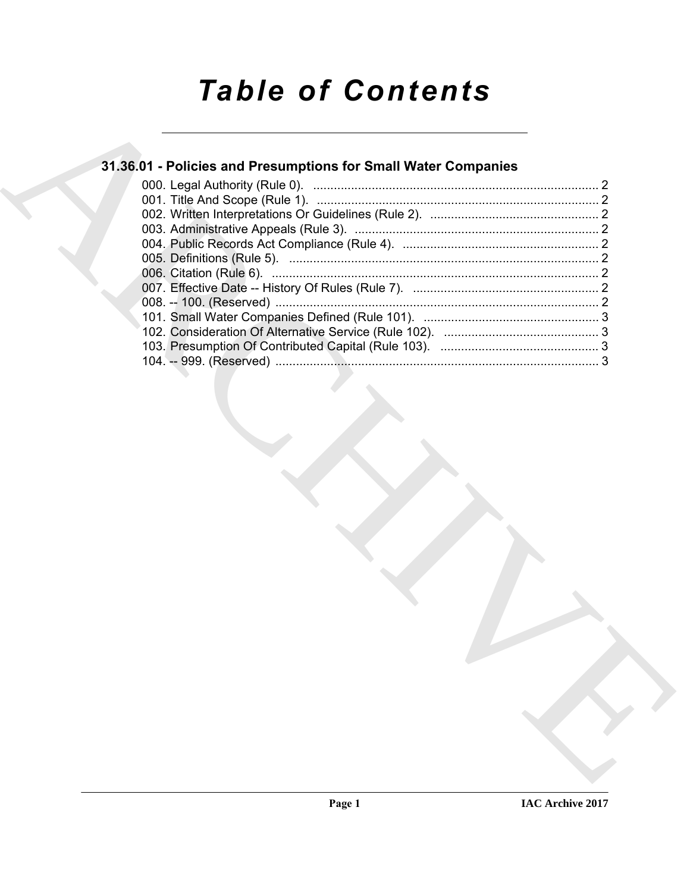# *Table of Contents*

## **31.36.01 - Policies and Presumptions for Small Water Companies**

| 31.36.01 - Policies and Presumptions for Small Water Companies |
|----------------------------------------------------------------|
|                                                                |
|                                                                |
|                                                                |
|                                                                |
|                                                                |
|                                                                |
|                                                                |
|                                                                |
|                                                                |
|                                                                |
|                                                                |
|                                                                |
|                                                                |
|                                                                |
|                                                                |
|                                                                |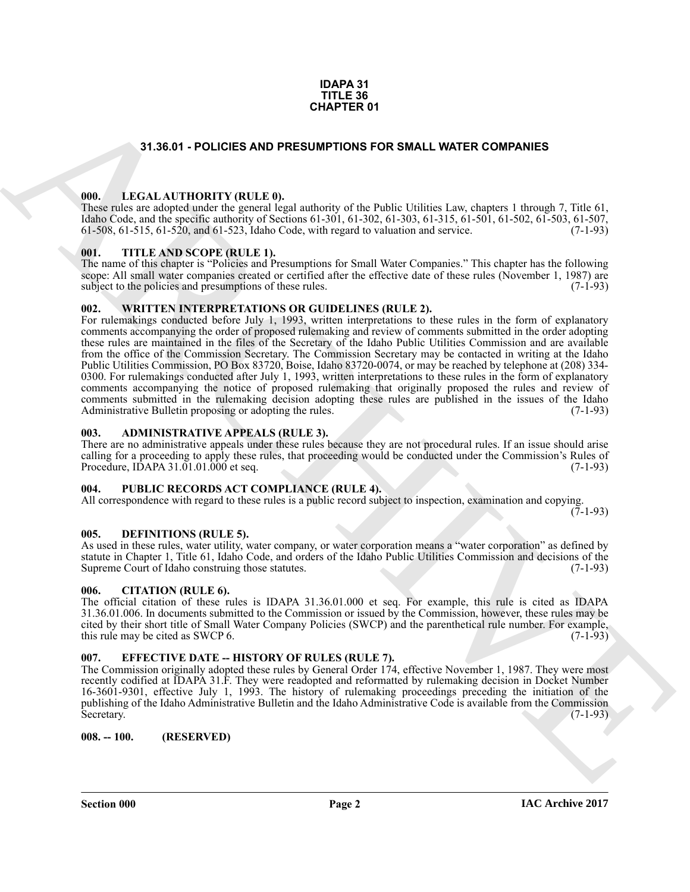### **IDAPA 31 TITLE 36 CHAPTER 01**

### **31.36.01 - POLICIES AND PRESUMPTIONS FOR SMALL WATER COMPANIES**

### <span id="page-1-1"></span><span id="page-1-0"></span>**000. LEGAL AUTHORITY (RULE 0).**

These rules are adopted under the general legal authority of the Public Utilities Law, chapters 1 through 7, Title 61, Idaho Code, and the specific authority of Sections 61-301, 61-302, 61-303, 61-315, 61-501, 61-502, 61-503, 61-507, 61-508, 61-515, 61-520, and 61-523, Idaho Code, with regard to valuation and service. (7-1-93)

### <span id="page-1-2"></span>**001. TITLE AND SCOPE (RULE 1).**

The name of this chapter is "Policies and Presumptions for Small Water Companies." This chapter has the following scope: All small water companies created or certified after the effective date of these rules (November 1, 1987) are subject to the policies and presumptions of these rules. subject to the policies and presumptions of these rules.

### <span id="page-1-3"></span>**002. WRITTEN INTERPRETATIONS OR GUIDELINES (RULE 2).**

**CHAPTER OF**<br>**EXAMPLE COMPANIES**<br>
THE CALAL PHOTOGRAMIC PROSPECTIVE FOR STALL WATER COMPANIES<br>
THE CALAL PHOTOGRAMIC PRODUCTION FOR STALL USING THE COMPANIES<br>
THE CALAL PHOTOGRAMIC PRODUCTION CONTINUES (SEE AND THE CALAL For rulemakings conducted before July 1, 1993, written interpretations to these rules in the form of explanatory comments accompanying the order of proposed rulemaking and review of comments submitted in the order adopting these rules are maintained in the files of the Secretary of the Idaho Public Utilities Commission and are available from the office of the Commission Secretary. The Commission Secretary may be contacted in writing at the Idaho Public Utilities Commission, PO Box 83720, Boise, Idaho 83720-0074, or may be reached by telephone at (208) 334- 0300. For rulemakings conducted after July 1, 1993, written interpretations to these rules in the form of explanatory comments accompanying the notice of proposed rulemaking that originally proposed the rules and review of comments submitted in the rulemaking decision adopting these rules are published in the issues of the Idaho Administrative Bulletin proposing or adopting the rules. (7-1-93) Administrative Bulletin proposing or adopting the rules.

### <span id="page-1-4"></span>**003. ADMINISTRATIVE APPEALS (RULE 3).**

There are no administrative appeals under these rules because they are not procedural rules. If an issue should arise calling for a proceeding to apply these rules, that proceeding would be conducted under the Commission's Rules of Procedure, IDAPA 31.01.01.000 et seq. (7-1-93)

### <span id="page-1-5"></span>**004. PUBLIC RECORDS ACT COMPLIANCE (RULE 4).**

All correspondence with regard to these rules is a public record subject to inspection, examination and copying.  $(7-1-93)$ 

### <span id="page-1-10"></span><span id="page-1-6"></span>**005. DEFINITIONS (RULE 5).**

As used in these rules, water utility, water company, or water corporation means a "water corporation" as defined by statute in Chapter 1, Title 61, Idaho Code, and orders of the Idaho Public Utilities Commission and decisions of the Supreme Court of Idaho construing those statutes. (7-1-93) Supreme Court of Idaho construing those statutes.

### <span id="page-1-7"></span>**006. CITATION (RULE 6).**

The official citation of these rules is IDAPA 31.36.01.000 et seq. For example, this rule is cited as IDAPA 31.36.01.006. In documents submitted to the Commission or issued by the Commission, however, these rules may be cited by their short title of Small Water Company Policies (SWCP) and the parenthetical rule number. For example, this rule may be cited as SWCP 6. (7-1-93)

### <span id="page-1-8"></span>**007. EFFECTIVE DATE -- HISTORY OF RULES (RULE 7).**

The Commission originally adopted these rules by General Order 174, effective November 1, 1987. They were most recently codified at IDAPA 31.F. They were readopted and reformatted by rulemaking decision in Docket Number 16-3601-9301, effective July 1, 1993. The history of rulemaking proceedings preceding the initiation of the publishing of the Idaho Administrative Bulletin and the Idaho Administrative Code is available from the Commission<br>Secretary. (7-1-93) Secretary.  $(7-1-93)$ 

### <span id="page-1-9"></span>**008. -- 100. (RESERVED)**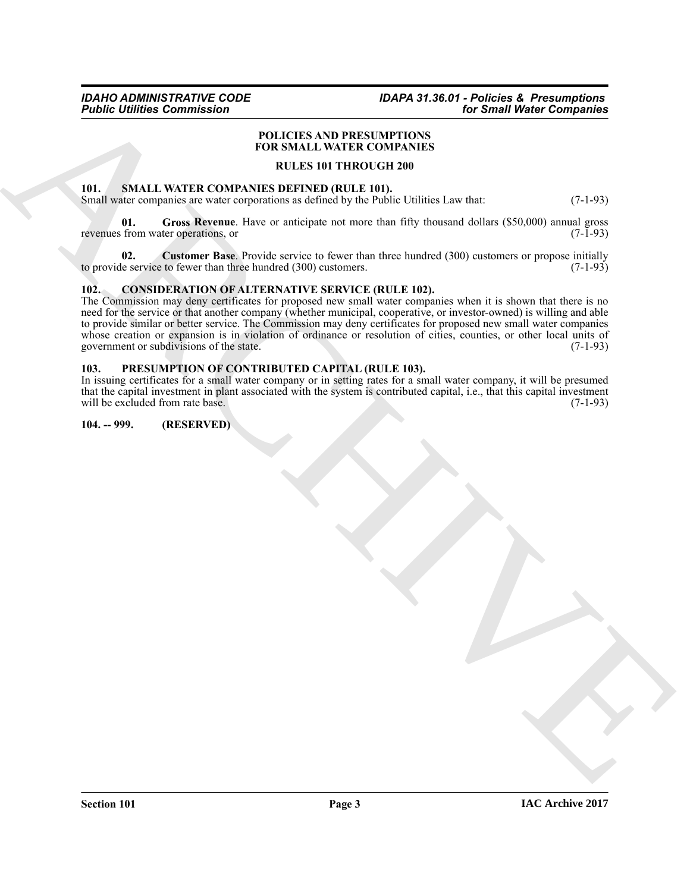### *IDAHO ADMINISTRATIVE CODE IDAPA 31.36.01 - Policies & Presumptions for Small Water Companies*

### **POLICIES AND PRESUMPTIONS FOR SMALL WATER COMPANIES**

### **RULES 101 THROUGH 200**

### <span id="page-2-6"></span><span id="page-2-0"></span>**101. SMALL WATER COMPANIES DEFINED (RULE 101).**

Small water companies are water corporations as defined by the Public Utilities Law that: (7-1-93)

<span id="page-2-8"></span>**01. Gross Revenue**. Have or anticipate not more than fifty thousand dollars (\$50,000) annual gross revenues from water operations, or (7-1-93)

<span id="page-2-7"></span>**02. Customer Base**. Provide service to fewer than three hundred (300) customers or propose initially to provide service to fewer than three hundred (300) customers. (7-1-93)

### <span id="page-2-4"></span><span id="page-2-1"></span>**102. CONSIDERATION OF ALTERNATIVE SERVICE (RULE 102).**

**FIGURE COMMUNISMS**<br>
FOLLOWS AND PRESSUMPTIONS<br>
TOTAL IN THE CONTENTS OF PUSATION TOWARDS INTERVIEW COMPANY CONTENTS OF THE SHAPE OF THE SHAPE OF THE STATE CONTENTS IN THE CONTENTS OF THE SHAPE OF THE SHAPE OF THE SHAPE O The Commission may deny certificates for proposed new small water companies when it is shown that there is no need for the service or that another company (whether municipal, cooperative, or investor-owned) is willing and able to provide similar or better service. The Commission may deny certificates for proposed new small water companies whose creation or expansion is in violation of ordinance or resolution of cities, counties, or other local units of government or subdivisions of the state. (7-1-93) government or subdivisions of the state.

### <span id="page-2-5"></span><span id="page-2-2"></span>**103. PRESUMPTION OF CONTRIBUTED CAPITAL (RULE 103).**

In issuing certificates for a small water company or in setting rates for a small water company, it will be presumed that the capital investment in plant associated with the system is contributed capital, i.e., that this capital investment will be excluded from rate base.

### <span id="page-2-3"></span>**104. -- 999. (RESERVED)**